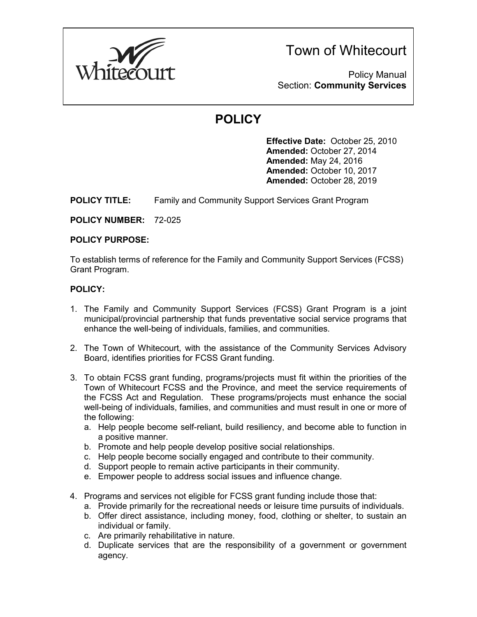

Town of Whitecourt

Policy Manual Section: **Community Services**

## **POLICY**

**Effective Date:** October 25, 2010 **Amended:** October 27, 2014 **Amended:** May 24, 2016 **Amended:** October 10, 2017 **Amended:** October 28, 2019

**POLICY TITLE:** Family and Community Support Services Grant Program

**POLICY NUMBER:** 72-025

## **POLICY PURPOSE:**

To establish terms of reference for the Family and Community Support Services (FCSS) Grant Program.

## **POLICY:**

- 1. The Family and Community Support Services (FCSS) Grant Program is a joint municipal/provincial partnership that funds preventative social service programs that enhance the well-being of individuals, families, and communities.
- 2. The Town of Whitecourt, with the assistance of the Community Services Advisory Board, identifies priorities for FCSS Grant funding.
- 3. To obtain FCSS grant funding, programs/projects must fit within the priorities of the Town of Whitecourt FCSS and the Province, and meet the service requirements of the FCSS Act and Regulation. These programs/projects must enhance the social well-being of individuals, families, and communities and must result in one or more of the following:
	- a. Help people become self-reliant, build resiliency, and become able to function in a positive manner.
	- b. Promote and help people develop positive social relationships.
	- c. Help people become socially engaged and contribute to their community.
	- d. Support people to remain active participants in their community.
	- e. Empower people to address social issues and influence change.
- 4. Programs and services not eligible for FCSS grant funding include those that:
	- a. Provide primarily for the recreational needs or leisure time pursuits of individuals.
	- b. Offer direct assistance, including money, food, clothing or shelter, to sustain an individual or family.
	- c. Are primarily rehabilitative in nature.
	- d. Duplicate services that are the responsibility of a government or government agency.